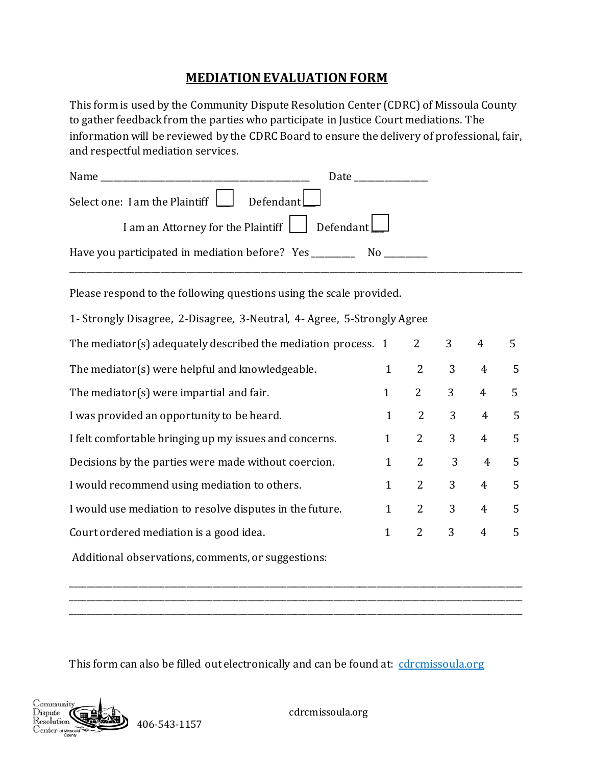## **MEDIATION EVALUATION FORM**

This form is used by the Community Dispute Resolution Center (CDRC) of Missoula County to gather feedback from the parties who participate in Justice Court mediations. The information will be reviewed by the CDRC Board to ensure the delivery of professional, fair, and respectful mediation services.

|                                                                                   | Date the control of the control of the control of the control of the control of the control of the control of the control of the control of the control of the control of the control of the control of the control of the con |
|-----------------------------------------------------------------------------------|--------------------------------------------------------------------------------------------------------------------------------------------------------------------------------------------------------------------------------|
| Select one: I am the Plaintiff $\Box$ Defendant $\Box$                            |                                                                                                                                                                                                                                |
| I am an Attorney for the Plaintiff Defendant                                      |                                                                                                                                                                                                                                |
| Have you participated in mediation before? Yes __________________________________ |                                                                                                                                                                                                                                |
|                                                                                   |                                                                                                                                                                                                                                |

Please respond to the following questions using the scale provided.

1- Strongly Disagree, 2-Disagree, 3-Neutral, 4- Agree, 5-Strongly Agree

| The mediator(s) adequately described the mediation process. 1 |              | $\overline{2}$ | 3 | 4              | 5.             |
|---------------------------------------------------------------|--------------|----------------|---|----------------|----------------|
| The mediator(s) were helpful and knowledgeable.               | $\mathbf{1}$ | 2              | 3 | $\overline{4}$ | 5              |
| The mediator(s) were impartial and fair.                      | $\mathbf{1}$ | 2              | 3 | $\overline{4}$ | 5              |
| I was provided an opportunity to be heard.                    | $\mathbf{1}$ | 2              | 3 | $\overline{4}$ | 5              |
| I felt comfortable bringing up my issues and concerns.        | $\mathbf{1}$ | $\mathbf{2}$   | 3 | $\overline{4}$ | $\overline{5}$ |
| Decisions by the parties were made without coercion.          | $\mathbf{1}$ | 2              | 3 | $\overline{4}$ | $\overline{5}$ |
| I would recommend using mediation to others.                  | $\mathbf{1}$ | 2              | 3 | $\overline{4}$ | 5              |
| I would use mediation to resolve disputes in the future.      | $\mathbf{1}$ | 2              | 3 | $\overline{4}$ | 5              |
| Court ordered mediation is a good idea.                       | 1            | 2              | 3 | $\overline{4}$ | 5              |
|                                                               |              |                |   |                |                |

\_\_\_\_\_\_\_\_\_\_\_\_\_\_\_\_\_\_\_\_\_\_\_\_\_\_\_\_\_\_\_\_\_\_\_\_\_\_\_\_\_\_\_\_\_\_\_\_\_\_\_\_\_\_\_\_\_\_\_\_\_\_\_\_\_\_\_\_\_\_\_\_\_\_\_\_\_\_\_\_\_\_\_\_\_\_\_\_\_\_\_\_\_\_\_\_\_\_\_\_\_\_\_\_\_ \_\_\_\_\_\_\_\_\_\_\_\_\_\_\_\_\_\_\_\_\_\_\_\_\_\_\_\_\_\_\_\_\_\_\_\_\_\_\_\_\_\_\_\_\_\_\_\_\_\_\_\_\_\_\_\_\_\_\_\_\_\_\_\_\_\_\_\_\_\_\_\_\_\_\_\_\_\_\_\_\_\_\_\_\_\_\_\_\_\_\_\_\_\_\_\_\_\_\_\_\_\_\_\_\_ \_\_\_\_\_\_\_\_\_\_\_\_\_\_\_\_\_\_\_\_\_\_\_\_\_\_\_\_\_\_\_\_\_\_\_\_\_\_\_\_\_\_\_\_\_\_\_\_\_\_\_\_\_\_\_\_\_\_\_\_\_\_\_\_\_\_\_\_\_\_\_\_\_\_\_\_\_\_\_\_\_\_\_\_\_\_\_\_\_\_\_\_\_\_\_\_\_\_\_\_\_\_\_\_\_

Additional observations, comments, or suggestions:

This form can also be filled out electronically and can be found at: cdrcmissoula.org



cdrcmissoula.org